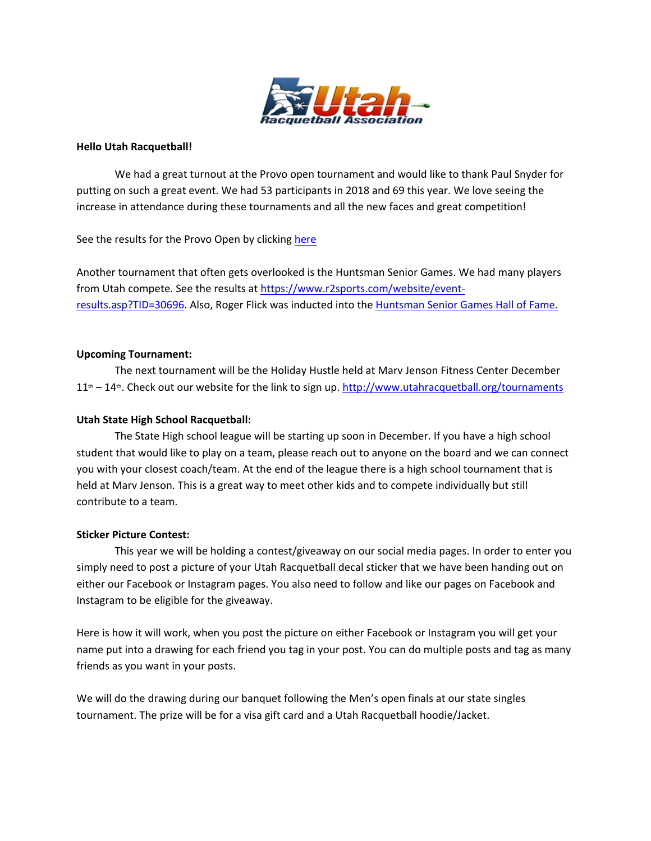

#### **Hello Utah Racquetball!**

We had a great turnout at the Provo open tournament and would like to thank Paul Snyder for putting on such a great event. We had 53 participants in 2018 and 69 this year. We love seeing the increase in attendance during these tournaments and all the new faces and great competition!

See the results for the Provo Open by clicking here

Another tournament that often gets overlooked is the Huntsman Senior Games. We had many players from Utah compete. See the results at https://www.r2sports.com/website/eventresults.asp?TID=30696. Also, Roger Flick was inducted into the Huntsman Senior Games Hall of Fame.

#### **Upcoming Tournament:**

The next tournament will be the Holiday Hustle held at Marv Jenson Fitness Center December  $11<sup>th</sup> - 14<sup>th</sup>$ . Check out our website for the link to sign up. http://www.utahracquetball.org/tournaments

## **Utah State High School Racquetball:**

The State High school league will be starting up soon in December. If you have a high school student that would like to play on a team, please reach out to anyone on the board and we can connect you with your closest coach/team. At the end of the league there is a high school tournament that is held at Marv Jenson. This is a great way to meet other kids and to compete individually but still contribute to a team.

# **Sticker Picture Contest:**

This year we will be holding a contest/giveaway on our social media pages. In order to enter you simply need to post a picture of your Utah Racquetball decal sticker that we have been handing out on either our Facebook or Instagram pages. You also need to follow and like our pages on Facebook and Instagram to be eligible for the giveaway.

Here is how it will work, when you post the picture on either Facebook or Instagram you will get your name put into a drawing for each friend you tag in your post. You can do multiple posts and tag as many friends as you want in your posts.

We will do the drawing during our banquet following the Men's open finals at our state singles tournament. The prize will be for a visa gift card and a Utah Racquetball hoodie/Jacket.